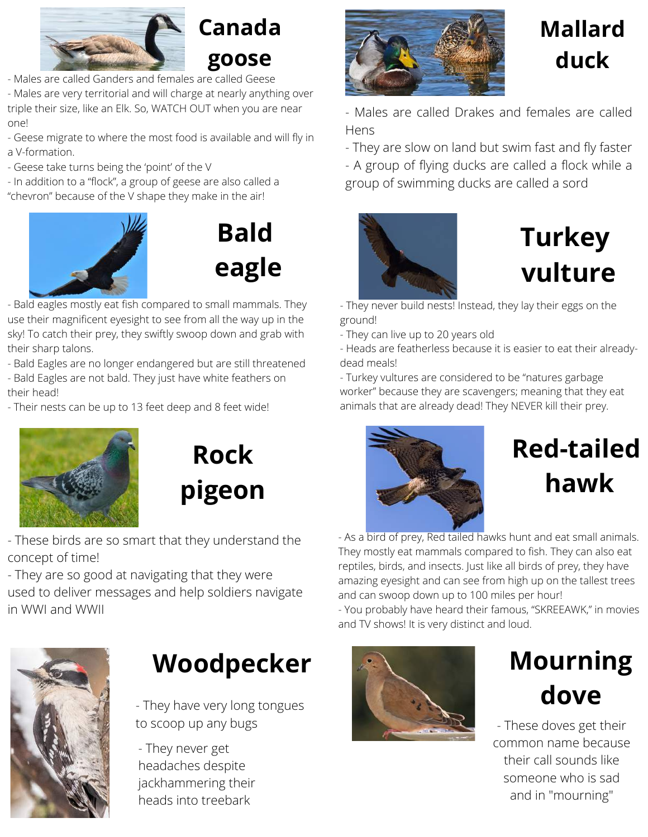

### **Canada goose**

- Males are called Ganders and females are called Geese

- Males are very territorial and will charge at nearly anything over triple their size, like an Elk. So, WATCH OUT when you are near one!

- Geese migrate to where the most food is available and will fly in a V-formation.

- Geese take turns being the 'point' of the V
- In addition to a "flock", a group of geese are also called a "chevron" because of the V shape they make in the air!





- Bald eagles mostly eat fish compared to small mammals. They use their magnificent eyesight to see from all the way up in the sky! To catch their prey, they swiftly swoop down and grab with their sharp talons.

- Bald Eagles are no longer endangered but are still threatened
- Bald Eagles are not bald. They just have white feathers on their head!
- Their nests can be up to 13 feet deep and 8 feet wide!





- These birds are so smart that they understand the concept of time!

- They are so good at navigating that they were used to deliver messages and help soldiers navigate in WWI and WWII



### Woodpecker **All Mourning**

to scoop up any bugs

- They never get headaches despite jackhammering their heads into treebark



### **Mallard duck**

- Males are called Drakes and females are called Hens

- They are slow on land but swim fast and fly faster

- A group of flying ducks are called a flock while a group of swimming ducks are called a sord



# **Turkey vulture**

- They never build nests! Instead, they lay their eggs on the ground!

- They can live up to 20 years old

- Heads are featherless because it is easier to eat their alreadydead meals!

- Turkey vultures are considered to be "natures garbage worker" because they are scavengers; meaning that they eat animals that are already dead! They NEVER kill their prey.



# **Red-tailed hawk**

- As a bird of prey, Red tailed hawks hunt and eat small animals. They mostly eat mammals compared to fish. They can also eat reptiles, birds, and insects. Just like all birds of prey, they have amazing eyesight and can see from high up on the tallest trees and can swoop down up to 100 miles per hour!

- You probably have heard their famous, "SKREEAWK," in movies and TV shows! It is very distinct and loud.



- These doves get their common name because their call sounds like someone who is sad and in "mourning"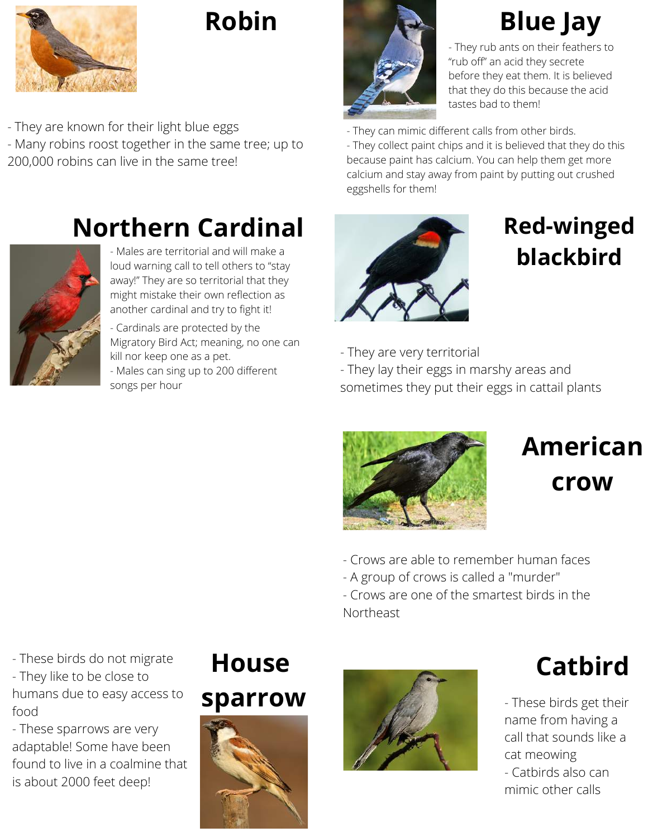

### **Robin**

- They are known for their light blue eggs - Many robins roost together in the same tree; up to 200,000 robins can live in the same tree!

### **Northern Cardinal <b>Red-winged**



- Males are territorial and will make a loud warning call to tell others to "stay away!" They are so territorial that they might mistake their own reflection as another cardinal and try to fight it!

- Cardinals are protected by the Migratory Bird Act; meaning, no one can kill nor keep one as a pet.

- Males can sing up to 200 different songs per hour



# **Blue Jay**

- They rub ants on their feathers to "rub off" an acid they secrete before they eat them. It is believed that they do this because the acid tastes bad to them!

- They can mimic different calls from other birds.

- They collect paint chips and it is believed that they do this because paint has calcium. You can help them get more calcium and stay away from paint by putting out crushed eggshells for them!



# **blackbird**

- They are very territorial

- They lay their eggs in marshy areas and sometimes they put their eggs in cattail plants



# **American crow**

- Crows are able to remember human faces

- A group of crows is called a "murder"

- Crows are one of the smartest birds in the Northeast

- These birds do not migrate - They like to be close to humans due to easy access to food

- These sparrows are very adaptable! Some have been found to live in a coalmine that is about 2000 feet deep!

### **House sparrow**





### **Catbird**

- These birds get their name from having a call that sounds like a cat meowing - Catbirds also can mimic other calls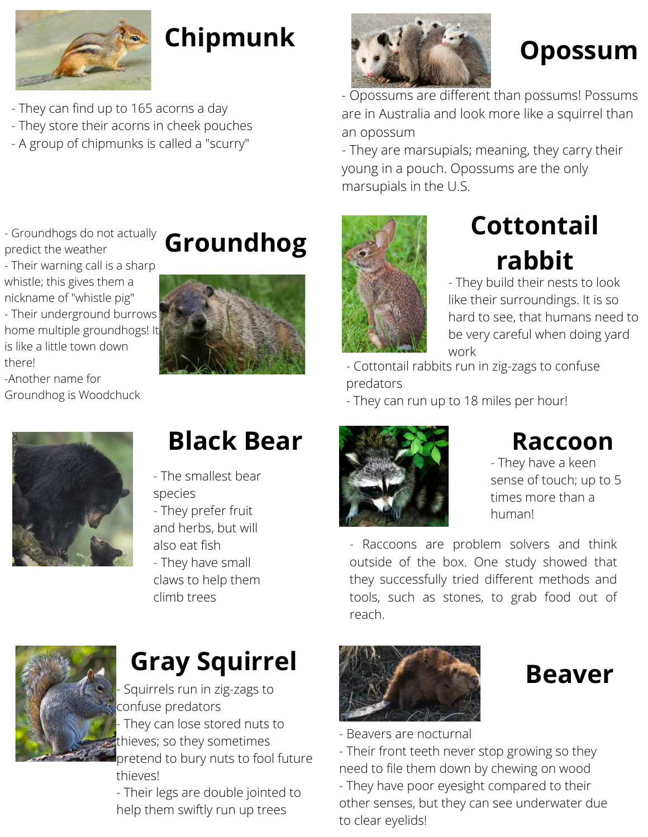

- They can find up to 165 acorns a day
- They store their acorns in cheek pouches
- A group of chipmunks is called a "scurry"
- Groundhogs do not actually predict the weather
- Their warning call is a sharp whistle; this gives them a nickname of "whistle pig" - Their underground burrows home multiple groundhogs! It is like a little town down there!
- -Another name for Groundhog is Woodchuck







### **Black Bear**

- The smallest bear species
- They prefer fruit and herbs, but will also eat fish - They have small
- claws to help them climb trees



Squirrels run in zig-zags to confuse predators They can lose stored nuts to thieves; so they sometimes pretend to bury nuts to fool future

thieves! - Their legs are double jointed to help them swiftly run up trees



- Opossums are different than possums! Possums are in Australia and look more like a squirrel than an opossum

- They are marsupials; meaning, they carry their young in a pouch. Opossums are the only marsupials in the U.S.



# **Cottontail**

- They build their nests to look like their surroundings. It is so hard to see, that humans need to be very careful when doing yard work

- Cottontail rabbits run in zig-zags to confuse predators

- They can run up to 18 miles per hour!



### **Raccoon**

- They have a keen sense of touch; up to 5 times more than a human!

- Raccoons are problem solvers and think outside of the box. One study showed that they successfully tried different methods and tools, such as stones, to grab food out of reach.



- Beavers are nocturnal

to clear eyelids!

- Their front teeth never stop growing so they need to file them down by chewing on wood - They have poor eyesight compared to their other senses, but they can see underwater due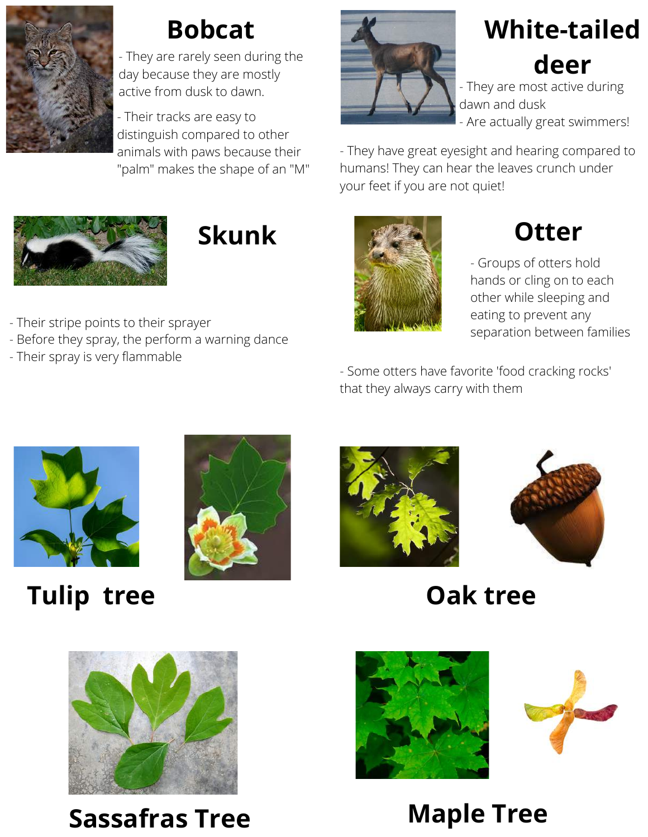

- They are rarely seen during the day because they are mostly active from dusk to dawn.

- Their tracks are easy to distinguish compared to other animals with paws because their "palm" makes the shape of an "M"





- Their stripe points to their sprayer
- Before they spray, the perform a warning dance
- Their spray is very flammable



# **Bobcat White-tailed deer**

- They are most active during dawn and dusk - Are actually great swimmers!

- They have great eyesight and hearing compared to humans! They can hear the leaves crunch under your feet if you are not quiet!



- Groups of otters hold hands or cling on to each other while sleeping and eating to prevent any separation between families

- Some otters have favorite 'food cracking rocks' that they always carry with them



**Tulip tree Oak tree**









**Sassafras Tree Maple Tree**



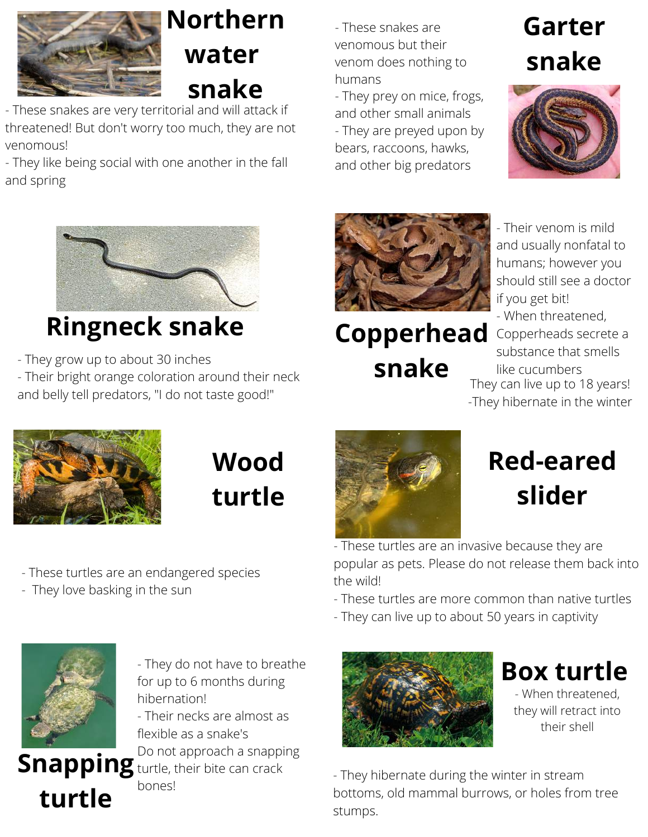

### **Northern water snake**

- These snakes are very territorial and will attack if threatened! But don't worry too much, they are not venomous!

- They like being social with one another in the fall and spring



# **Ringneck snake Copperhead**

- They grow up to about 30 inches

- Their bright orange coloration around their neck and belly tell predators, "I do not taste good!"

- These snakes are venomous but their venom does nothing to humans

- They prey on mice, frogs, and other small animals

- They are preyed upon by bears, raccoons, hawks, and other big predators

# **Garter snake**





**snake**

- Their venom is mild and usually nonfatal to humans; however you should still see a doctor if you get bit! - When threatened, Copperheads secrete a substance that smells like cucumbers They can live up to 18 years! -They hibernate in the winter



# **Wood turtle**

- These turtles are an endangered species
- They love basking in the sun



# **Red-eared slider**

- These turtles are an invasive because they are popular as pets. Please do not release them back into the wild!

- These turtles are more common than native turtles

- They can live up to about 50 years in captivity



**Box turtle** - When threatened, they will retract into their shell

- They hibernate during the winter in stream bottoms, old mammal burrows, or holes from tree stumps.



**turtle**

- They do not have to breathe for up to 6 months during hibernation!

- Their necks are almost as flexible as a snake's

Do not approach a snapping

**Snapping** turtle, their bite can crack bones!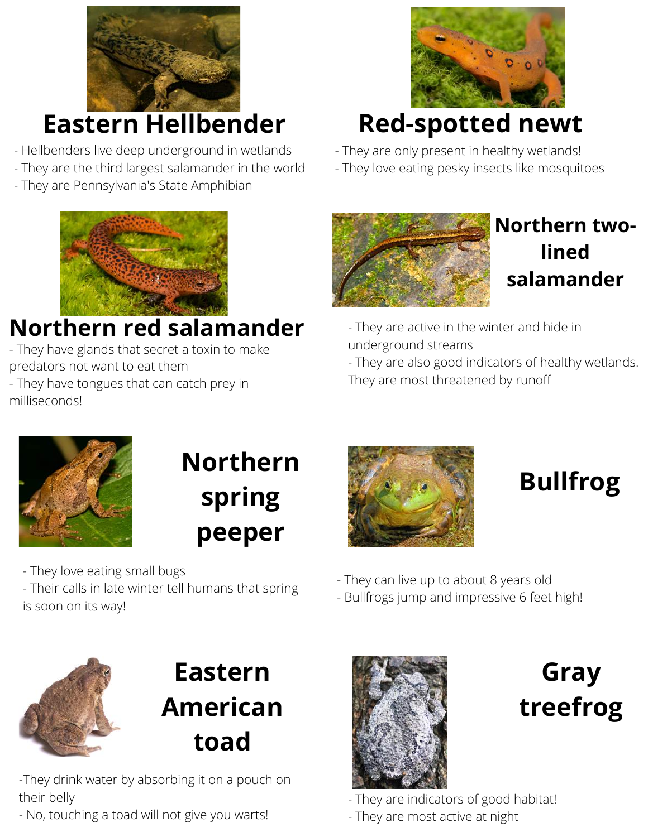

### **Eastern Hellbender**

- Hellbenders live deep underground in wetlands
- They are the third largest salamander in the world
- They are Pennsylvania's State Amphibian



### **Northern red salamander**

- They have glands that secret a toxin to make predators not want to eat them

- They have tongues that can catch prey in milliseconds!



## **Red-spotted newt**

- They are only present in healthy wetlands!
- They love eating pesky insects like mosquitoes



### **Northern twolined salamander**

- They are active in the winter and hide in underground streams

- They are also good indicators of healthy wetlands. They are most threatened by runoff



# **Northern spring peeper**

- They love eating small bugs

- Their calls in late winter tell humans that spring is soon on its way!



# **Bullfrog**

- They can live up to about 8 years old
- Bullfrogs jump and impressive 6 feet high!



### **Eastern American toad**

-They drink water by absorbing it on a pouch on their belly

- No, touching a toad will not give you warts!



**Gray treefrog**

- They are indicators of good habitat!

- They are most active at night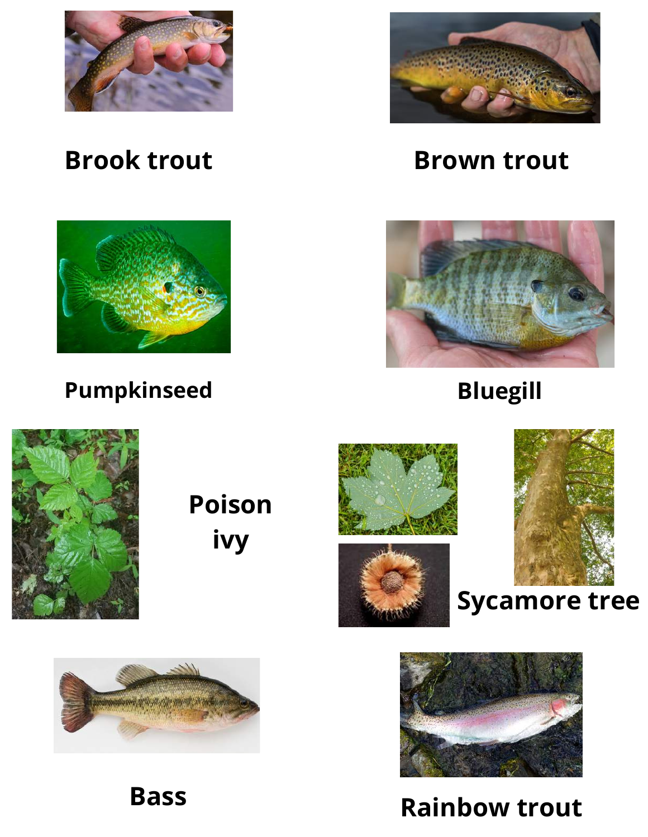



### **Brook trout Brown trout**





**Pumpkinseed Bluegill**



**Poison ivy**







**Sycamore tree**



**Rainbow trout Bass**